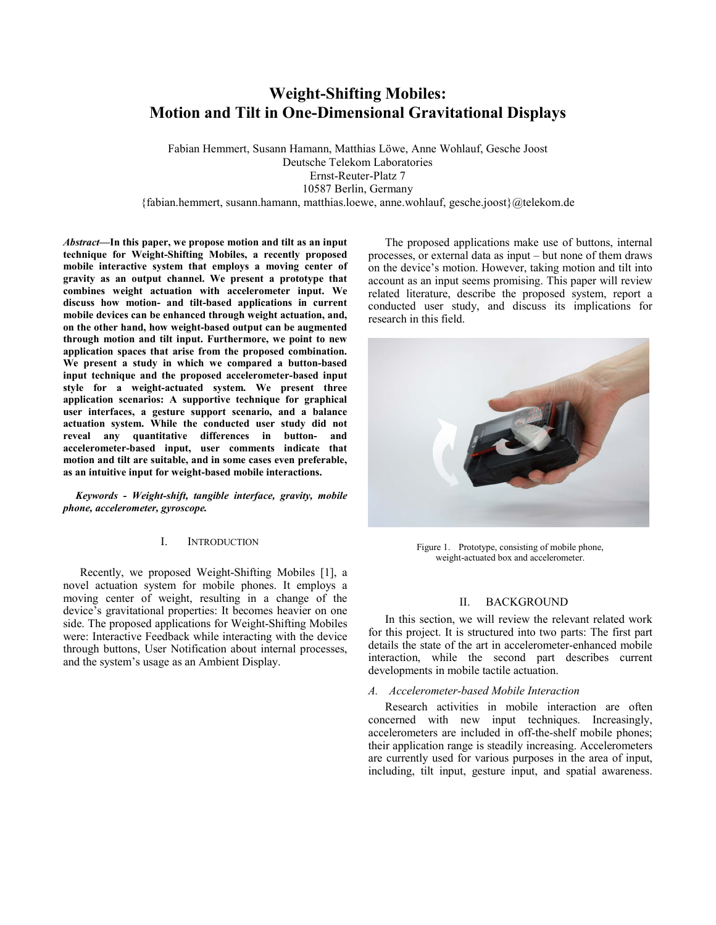# **Weight-Shifting Mobiles: Motion and Tilt in One-Dimensional Gravitational Displays**

Fabian Hemmert, Susann Hamann, Matthias Löwe, Anne Wohlauf, Gesche Joost Deutsche Telekom Laboratories Ernst-Reuter-Platz 7 10587 Berlin, Germany {fabian.hemmert, susann.hamann, matthias.loewe, anne.wohlauf, gesche.joost}@telekom.de

*Abstract***—In this paper, we propose motion and tilt as an input technique for Weight-Shifting Mobiles, a recently proposed mobile interactive system that employs a moving center of gravity as an output channel. We present a prototype that combines weight actuation with accelerometer input. We discuss how motion- and tilt-based applications in current mobile devices can be enhanced through weight actuation, and, on the other hand, how weight-based output can be augmented through motion and tilt input. Furthermore, we point to new application spaces that arise from the proposed combination. We present a study in which we compared a button-based input technique and the proposed accelerometer-based input style for a weight-actuated system. We present three application scenarios: A supportive technique for graphical user interfaces, a gesture support scenario, and a balance actuation system. While the conducted user study did not reveal any quantitative differences in button- and accelerometer-based input, user comments indicate that motion and tilt are suitable, and in some cases even preferable, as an intuitive input for weight-based mobile interactions.** 

*Keywords* **-** *Weight-shift, tangible interface, gravity, mobile phone, accelerometer, gyroscope.*

## I. INTRODUCTION

Recently, we proposed Weight-Shifting Mobiles [1], a novel actuation system for mobile phones. It employs a moving center of weight, resulting in a change of the device's gravitational properties: It becomes heavier on one side. The proposed applications for Weight-Shifting Mobiles were: Interactive Feedback while interacting with the device through buttons, User Notification about internal processes, and the system's usage as an Ambient Display.

The proposed applications make use of buttons, internal processes, or external data as input – but none of them draws on the device's motion. However, taking motion and tilt into account as an input seems promising. This paper will review related literature, describe the proposed system, report a conducted user study, and discuss its implications for research in this field.



Figure 1. Prototype, consisting of mobile phone, weight-actuated box and accelerometer.

# II. BACKGROUND

In this section, we will review the relevant related work for this project. It is structured into two parts: The first part details the state of the art in accelerometer-enhanced mobile interaction, while the second part describes current developments in mobile tactile actuation.

## *A. Accelerometer-based Mobile Interaction*

Research activities in mobile interaction are often concerned with new input techniques. Increasingly, accelerometers are included in off-the-shelf mobile phones; their application range is steadily increasing. Accelerometers are currently used for various purposes in the area of input, including, tilt input, gesture input, and spatial awareness.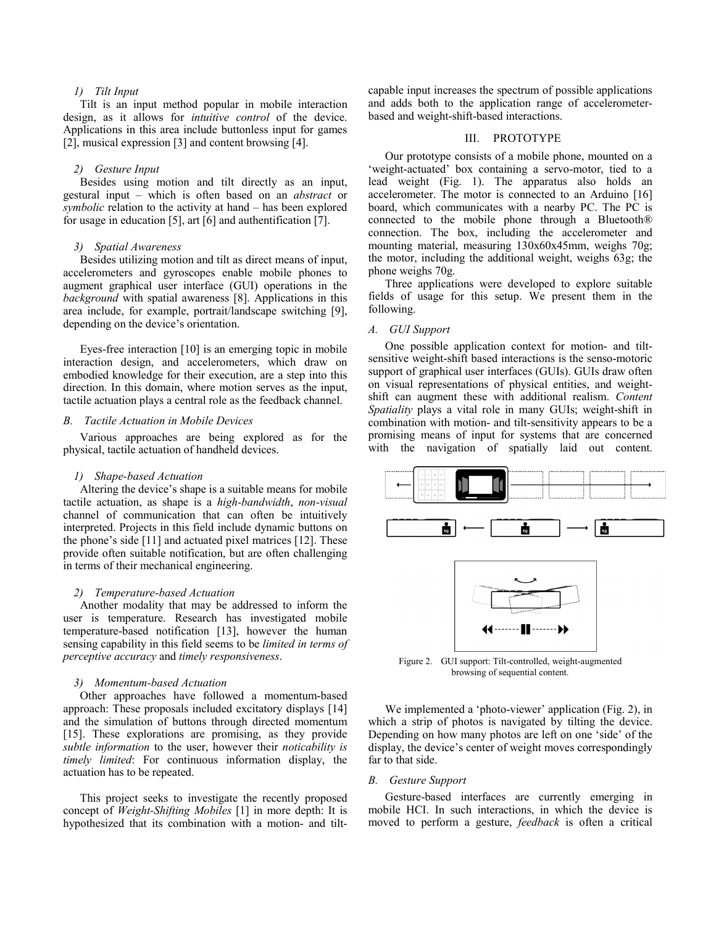### *1) Tilt Input*

Tilt is an input method popular in mobile interaction design, as it allows for *intuitive control* of the device. Applications in this area include buttonless input for games [2], musical expression [3] and content browsing [4].

# *2) Gesture Input*

Besides using motion and tilt directly as an input, gestural input – which is often based on an *abstract* or *symbolic* relation to the activity at hand – has been explored for usage in education [5], art [6] and authentification [7].

## *3) Spatial Awareness*

Besides utilizing motion and tilt as direct means of input, accelerometers and gyroscopes enable mobile phones to augment graphical user interface (GUI) operations in the *background* with spatial awareness [8]. Applications in this area include, for example, portrait/landscape switching [9], depending on the device's orientation.

Eyes-free interaction [10] is an emerging topic in mobile interaction design, and accelerometers, which draw on embodied knowledge for their execution, are a step into this direction. In this domain, where motion serves as the input, tactile actuation plays a central role as the feedback channel.

#### *B. Tactile Actuation in Mobile Devices*

Various approaches are being explored as for the physical, tactile actuation of handheld devices.

# *1) Shape-based Actuation*

Altering the device's shape is a suitable means for mobile tactile actuation, as shape is a *high-bandwidth*, *non-visual* channel of communication that can often be intuitively interpreted. Projects in this field include dynamic buttons on the phone's side [11] and actuated pixel matrices [12]. These provide often suitable notification, but are often challenging in terms of their mechanical engineering.

# *2) Temperature-based Actuation*

Another modality that may be addressed to inform the user is temperature. Research has investigated mobile temperature-based notification [13], however the human sensing capability in this field seems to be *limited in terms of perceptive accuracy* and *timely responsiveness*.

# *3) Momentum-based Actuation*

Other approaches have followed a momentum-based approach: These proposals included excitatory displays [14] and the simulation of buttons through directed momentum [15]. These explorations are promising, as they provide *subtle information* to the user, however their *noticability is timely limited*: For continuous information display, the actuation has to be repeated.

This project seeks to investigate the recently proposed concept of *Weight-Shifting Mobiles* [1] in more depth: It is hypothesized that its combination with a motion- and tiltcapable input increases the spectrum of possible applications and adds both to the application range of accelerometerbased and weight-shift-based interactions.

#### III. PROTOTYPE

Our prototype consists of a mobile phone, mounted on a 'weight-actuated' box containing a servo-motor, tied to a lead weight (Fig. 1). The apparatus also holds an accelerometer. The motor is connected to an Arduino [16] board, which communicates with a nearby PC. The PC is connected to the mobile phone through a Bluetooth® connection. The box, including the accelerometer and mounting material, measuring 130x60x45mm, weighs 70g; the motor, including the additional weight, weighs 63g; the phone weighs 70g.

Three applications were developed to explore suitable fields of usage for this setup. We present them in the following.

# *A. GUI Support*

One possible application context for motion- and tiltsensitive weight-shift based interactions is the senso-motoric support of graphical user interfaces (GUIs). GUIs draw often on visual representations of physical entities, and weightshift can augment these with additional realism. *Content Spatiality* plays a vital role in many GUIs; weight-shift in combination with motion- and tilt-sensitivity appears to be a promising means of input for systems that are concerned with the navigation of spatially laid out content.



Figure 2. GUI support: Tilt-controlled, weight-augmented browsing of sequential content.

We implemented a 'photo-viewer' application (Fig. 2), in which a strip of photos is navigated by tilting the device. Depending on how many photos are left on one 'side' of the display, the device's center of weight moves correspondingly far to that side.

#### *B. Gesture Support*

Gesture-based interfaces are currently emerging in mobile HCI. In such interactions, in which the device is moved to perform a gesture, *feedback* is often a critical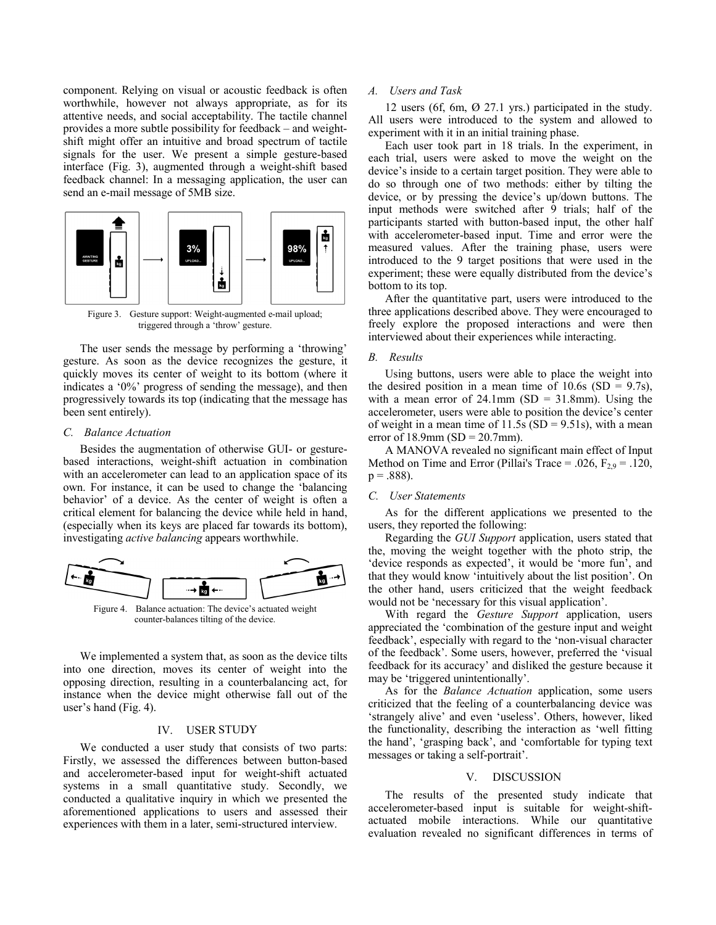component. Relying on visual or acoustic feedback is often worthwhile, however not always appropriate, as for its attentive needs, and social acceptability. The tactile channel provides a more subtle possibility for feedback – and weightshift might offer an intuitive and broad spectrum of tactile signals for the user. We present a simple gesture-based interface (Fig. 3), augmented through a weight-shift based feedback channel: In a messaging application, the user can send an e-mail message of 5MB size.



Figure 3. Gesture support: Weight-augmented e-mail upload; triggered through a 'throw' gesture.

The user sends the message by performing a 'throwing' gesture. As soon as the device recognizes the gesture, it quickly moves its center of weight to its bottom (where it indicates a '0%' progress of sending the message), and then progressively towards its top (indicating that the message has been sent entirely).

## *C. Balance Actuation*

Besides the augmentation of otherwise GUI- or gesturebased interactions, weight-shift actuation in combination with an accelerometer can lead to an application space of its own. For instance, it can be used to change the 'balancing behavior' of a device. As the center of weight is often a critical element for balancing the device while held in hand, (especially when its keys are placed far towards its bottom), investigating *active balancing* appears worthwhile.



Figure 4. Balance actuation: The device's actuated weight counter-balances tilting of the device.

We implemented a system that, as soon as the device tilts into one direction, moves its center of weight into the opposing direction, resulting in a counterbalancing act, for instance when the device might otherwise fall out of the user's hand (Fig. 4).

## IV. USER STUDY

We conducted a user study that consists of two parts: Firstly, we assessed the differences between button-based and accelerometer-based input for weight-shift actuated systems in a small quantitative study. Secondly, we conducted a qualitative inquiry in which we presented the aforementioned applications to users and assessed their experiences with them in a later, semi-structured interview.

### *A. Users and Task*

12 users (6f, 6m, Ø 27.1 yrs.) participated in the study. All users were introduced to the system and allowed to experiment with it in an initial training phase.

Each user took part in 18 trials. In the experiment, in each trial, users were asked to move the weight on the device's inside to a certain target position. They were able to do so through one of two methods: either by tilting the device, or by pressing the device's up/down buttons. The input methods were switched after 9 trials; half of the participants started with button-based input, the other half with accelerometer-based input. Time and error were the measured values. After the training phase, users were introduced to the 9 target positions that were used in the experiment; these were equally distributed from the device's bottom to its top.

After the quantitative part, users were introduced to the three applications described above. They were encouraged to freely explore the proposed interactions and were then interviewed about their experiences while interacting.

#### *B. Results*

Using buttons, users were able to place the weight into the desired position in a mean time of  $10.6s$  (SD = 9.7s), with a mean error of  $24.1$ mm (SD =  $31.8$ mm). Using the accelerometer, users were able to position the device's center of weight in a mean time of  $11.5s$  (SD = 9.51s), with a mean error of 18.9mm (SD =  $20.7$ mm).

A MANOVA revealed no significant main effect of Input Method on Time and Error (Pillai's Trace = .026,  $F_{2.9}$  = .120,  $p = .888$ ).

#### *C. User Statements*

As for the different applications we presented to the users, they reported the following:

Regarding the *GUI Support* application, users stated that the, moving the weight together with the photo strip, the 'device responds as expected', it would be 'more fun', and that they would know 'intuitively about the list position'. On the other hand, users criticized that the weight feedback would not be 'necessary for this visual application'.

With regard the *Gesture Support* application, users appreciated the 'combination of the gesture input and weight feedback', especially with regard to the 'non-visual character of the feedback'. Some users, however, preferred the 'visual feedback for its accuracy' and disliked the gesture because it may be 'triggered unintentionally'.

As for the *Balance Actuation* application, some users criticized that the feeling of a counterbalancing device was 'strangely alive' and even 'useless'. Others, however, liked the functionality, describing the interaction as 'well fitting the hand', 'grasping back', and 'comfortable for typing text messages or taking a self-portrait'.

# V. DISCUSSION

The results of the presented study indicate that accelerometer-based input is suitable for weight-shiftactuated mobile interactions. While our quantitative evaluation revealed no significant differences in terms of